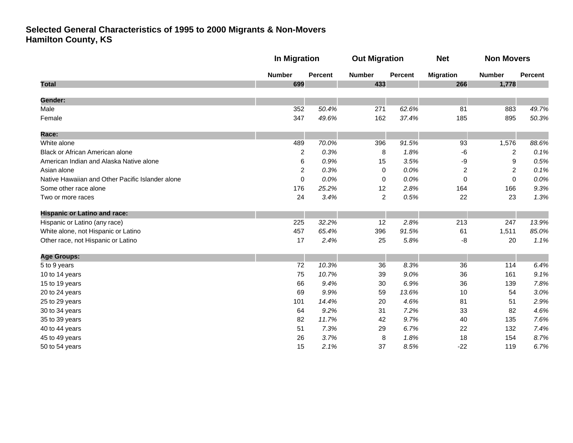|                                                  | <b>In Migration</b> |                | <b>Out Migration</b> |                | <b>Net</b>       | <b>Non Movers</b> |         |
|--------------------------------------------------|---------------------|----------------|----------------------|----------------|------------------|-------------------|---------|
|                                                  | <b>Number</b>       | <b>Percent</b> | <b>Number</b>        | <b>Percent</b> | <b>Migration</b> | <b>Number</b>     | Percent |
| <b>Total</b>                                     | 699                 |                | 433                  |                | 266              | 1,778             |         |
| <b>Gender:</b>                                   |                     |                |                      |                |                  |                   |         |
| Male                                             | 352                 | 50.4%          | 271                  | 62.6%          | 81               | 883               | 49.7%   |
| Female                                           | 347                 | 49.6%          | 162                  | 37.4%          | 185              | 895               | 50.3%   |
| Race:                                            |                     |                |                      |                |                  |                   |         |
| White alone                                      | 489                 | 70.0%          | 396                  | 91.5%          | 93               | 1,576             | 88.6%   |
| Black or African American alone                  | $\overline{c}$      | 0.3%           | 8                    | 1.8%           | $-6$             | $\overline{c}$    | 0.1%    |
| American Indian and Alaska Native alone          | 6                   | 0.9%           | 15                   | 3.5%           | -9               | 9                 | 0.5%    |
| Asian alone                                      | $\overline{2}$      | 0.3%           | 0                    | 0.0%           | 2                | $\overline{c}$    | 0.1%    |
| Native Hawaiian and Other Pacific Islander alone | 0                   | 0.0%           | 0                    | 0.0%           | $\pmb{0}$        | $\mathbf 0$       | 0.0%    |
| Some other race alone                            | 176                 | 25.2%          | 12                   | 2.8%           | 164              | 166               | 9.3%    |
| Two or more races                                | 24                  | 3.4%           | $\overline{c}$       | 0.5%           | 22               | 23                | 1.3%    |
| <b>Hispanic or Latino and race:</b>              |                     |                |                      |                |                  |                   |         |
| Hispanic or Latino (any race)                    | 225                 | 32.2%          | 12                   | 2.8%           | 213              | 247               | 13.9%   |
| White alone, not Hispanic or Latino              | 457                 | 65.4%          | 396                  | 91.5%          | 61               | 1,511             | 85.0%   |
| Other race, not Hispanic or Latino               | 17                  | 2.4%           | 25                   | 5.8%           | -8               | 20                | 1.1%    |
| <b>Age Groups:</b>                               |                     |                |                      |                |                  |                   |         |
| 5 to 9 years                                     | 72                  | 10.3%          | 36                   | 8.3%           | 36               | 114               | 6.4%    |
| 10 to 14 years                                   | 75                  | 10.7%          | 39                   | 9.0%           | 36               | 161               | 9.1%    |
| 15 to 19 years                                   | 66                  | 9.4%           | 30                   | 6.9%           | 36               | 139               | 7.8%    |
| 20 to 24 years                                   | 69                  | 9.9%           | 59                   | 13.6%          | 10               | 54                | 3.0%    |
| 25 to 29 years                                   | 101                 | 14.4%          | 20                   | 4.6%           | 81               | 51                | 2.9%    |
| 30 to 34 years                                   | 64                  | 9.2%           | 31                   | 7.2%           | 33               | 82                | 4.6%    |
| 35 to 39 years                                   | 82                  | 11.7%          | 42                   | 9.7%           | 40               | 135               | 7.6%    |
| 40 to 44 years                                   | 51                  | 7.3%           | 29                   | 6.7%           | 22               | 132               | 7.4%    |
| 45 to 49 years                                   | 26                  | 3.7%           | 8                    | 1.8%           | 18               | 154               | 8.7%    |
| 50 to 54 years                                   | 15                  | 2.1%           | 37                   | 8.5%           | $-22$            | 119               | 6.7%    |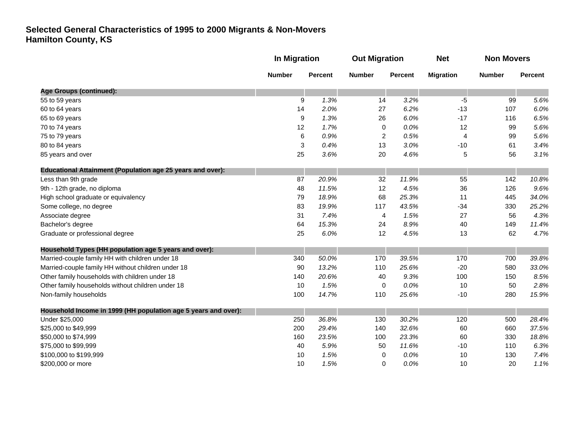|                                                                   | In Migration  |                | <b>Out Migration</b> |                | <b>Net</b>       | <b>Non Movers</b> |                |
|-------------------------------------------------------------------|---------------|----------------|----------------------|----------------|------------------|-------------------|----------------|
|                                                                   | <b>Number</b> | <b>Percent</b> | <b>Number</b>        | <b>Percent</b> | <b>Migration</b> | <b>Number</b>     | <b>Percent</b> |
| <b>Age Groups (continued):</b>                                    |               |                |                      |                |                  |                   |                |
| 55 to 59 years                                                    | 9             | 1.3%           | 14                   | 3.2%           | $-5$             | 99                | 5.6%           |
| 60 to 64 years                                                    | 14            | 2.0%           | 27                   | 6.2%           | $-13$            | 107               | 6.0%           |
| 65 to 69 years                                                    | 9             | 1.3%           | 26                   | 6.0%           | $-17$            | 116               | 6.5%           |
| 70 to 74 years                                                    | 12            | 1.7%           | 0                    | 0.0%           | 12               | 99                | 5.6%           |
| 75 to 79 years                                                    | $\,6$         | 0.9%           | $\overline{2}$       | 0.5%           | 4                | 99                | 5.6%           |
| 80 to 84 years                                                    | 3             | 0.4%           | 13                   | 3.0%           | $-10$            | 61                | 3.4%           |
| 85 years and over                                                 | 25            | 3.6%           | 20                   | 4.6%           | 5                | 56                | 3.1%           |
| <b>Educational Attainment (Population age 25 years and over):</b> |               |                |                      |                |                  |                   |                |
| Less than 9th grade                                               | 87            | 20.9%          | 32                   | 11.9%          | 55               | 142               | 10.8%          |
| 9th - 12th grade, no diploma                                      | 48            | 11.5%          | 12                   | 4.5%           | 36               | 126               | 9.6%           |
| High school graduate or equivalency                               | 79            | 18.9%          | 68                   | 25.3%          | 11               | 445               | 34.0%          |
| Some college, no degree                                           | 83            | 19.9%          | 117                  | 43.5%          | $-34$            | 330               | 25.2%          |
| Associate degree                                                  | 31            | 7.4%           | 4                    | 1.5%           | 27               | 56                | 4.3%           |
| Bachelor's degree                                                 | 64            | 15.3%          | 24                   | 8.9%           | 40               | 149               | 11.4%          |
| Graduate or professional degree                                   | 25            | 6.0%           | 12                   | 4.5%           | 13               | 62                | 4.7%           |
| Household Types (HH population age 5 years and over):             |               |                |                      |                |                  |                   |                |
| Married-couple family HH with children under 18                   | 340           | 50.0%          | 170                  | 39.5%          | 170              | 700               | 39.8%          |
| Married-couple family HH without children under 18                | 90            | 13.2%          | 110                  | 25.6%          | $-20$            | 580               | 33.0%          |
| Other family households with children under 18                    | 140           | 20.6%          | 40                   | 9.3%           | 100              | 150               | 8.5%           |
| Other family households without children under 18                 | 10            | 1.5%           | $\mathbf 0$          | 0.0%           | 10               | 50                | 2.8%           |
| Non-family households                                             | 100           | 14.7%          | 110                  | 25.6%          | $-10$            | 280               | 15.9%          |
| Household Income in 1999 (HH population age 5 years and over):    |               |                |                      |                |                  |                   |                |
| Under \$25,000                                                    | 250           | 36.8%          | 130                  | 30.2%          | 120              | 500               | 28.4%          |
| \$25,000 to \$49,999                                              | 200           | 29.4%          | 140                  | 32.6%          | 60               | 660               | 37.5%          |
| \$50,000 to \$74,999                                              | 160           | 23.5%          | 100                  | 23.3%          | 60               | 330               | 18.8%          |
| \$75,000 to \$99,999                                              | 40            | 5.9%           | 50                   | 11.6%          | $-10$            | 110               | 6.3%           |
| \$100,000 to \$199,999                                            | 10            | 1.5%           | 0                    | 0.0%           | 10               | 130               | 7.4%           |
| \$200,000 or more                                                 | 10            | 1.5%           | 0                    | 0.0%           | 10               | 20                | 1.1%           |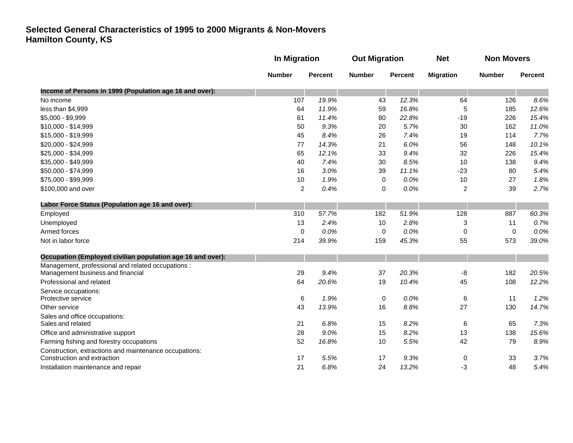|                                                            |                | In Migration   |               | <b>Out Migration</b> |                  | <b>Non Movers</b> |                |
|------------------------------------------------------------|----------------|----------------|---------------|----------------------|------------------|-------------------|----------------|
|                                                            | <b>Number</b>  | <b>Percent</b> | <b>Number</b> | <b>Percent</b>       | <b>Migration</b> | <b>Number</b>     | <b>Percent</b> |
| Income of Persons in 1999 (Population age 16 and over):    |                |                |               |                      |                  |                   |                |
| No income                                                  | 107            | 19.9%          | 43            | 12.3%                | 64               | 126               | 8.6%           |
| less than \$4,999                                          | 64             | 11.9%          | 59            | 16.8%                | 5                | 185               | 12.6%          |
| \$5,000 - \$9,999                                          | 61             | 11.4%          | 80            | 22.8%                | $-19$            | 226               | 15.4%          |
| \$10,000 - \$14,999                                        | 50             | 9.3%           | 20            | 5.7%                 | 30               | 162               | 11.0%          |
| \$15,000 - \$19,999                                        | 45             | 8.4%           | 26            | 7.4%                 | 19               | 114               | 7.7%           |
| \$20,000 - \$24,999                                        | 77             | 14.3%          | 21            | 6.0%                 | 56               | 148               | 10.1%          |
| \$25,000 - \$34,999                                        | 65             | 12.1%          | 33            | 9.4%                 | 32               | 226               | 15.4%          |
| \$35,000 - \$49,999                                        | 40             | 7.4%           | 30            | 8.5%                 | 10               | 138               | 9.4%           |
| \$50,000 - \$74,999                                        | 16             | 3.0%           | 39            | 11.1%                | $-23$            | 80                | 5.4%           |
| \$75,000 - \$99,999                                        | 10             | 1.9%           | $\mathbf 0$   | 0.0%                 | 10               | 27                | 1.8%           |
| \$100,000 and over                                         | $\overline{2}$ | 0.4%           | 0             | 0.0%                 | $\overline{2}$   | 39                | 2.7%           |
| Labor Force Status (Population age 16 and over):           |                |                |               |                      |                  |                   |                |
| Employed                                                   | 310            | 57.7%          | 182           | 51.9%                | 128              | 887               | 60.3%          |
| Unemployed                                                 | 13             | 2.4%           | 10            | 2.8%                 | 3                | 11                | 0.7%           |
| Armed forces                                               | $\mathbf 0$    | 0.0%           | 0             | 0.0%                 | $\mathbf 0$      | $\mathbf 0$       | 0.0%           |
| Not in labor force                                         | 214            | 39.9%          | 159           | 45.3%                | 55               | 573               | 39.0%          |
| Occupation (Employed civilian population age 16 and over): |                |                |               |                      |                  |                   |                |
| Management, professional and related occupations :         |                |                |               |                      |                  |                   |                |
| Management business and financial                          | 29             | 9.4%           | 37            | 20.3%                | -8               | 182               | 20.5%          |
| Professional and related                                   | 64             | 20.6%          | 19            | 10.4%                | 45               | 108               | 12.2%          |
| Service occupations:                                       |                |                |               |                      |                  |                   |                |
| Protective service                                         | 6              | 1.9%           | 0             | 0.0%                 | 6                | 11                | 1.2%           |
| Other service                                              | 43             | 13.9%          | 16            | 8.8%                 | 27               | 130               | 14.7%          |
| Sales and office occupations:<br>Sales and related         | 21             | 6.8%           | 15            | 8.2%                 | 6                | 65                | 7.3%           |
| Office and administrative support                          | 28             | 9.0%           | 15            | 8.2%                 | 13               | 138               | 15.6%          |
| Farming fishing and forestry occupations                   | 52             | 16.8%          | 10            | 5.5%                 | 42               | 79                | 8.9%           |
| Construction, extractions and maintenance occupations:     |                |                |               |                      |                  |                   |                |
| Construction and extraction                                | 17             | 5.5%           | 17            | 9.3%                 | $\boldsymbol{0}$ | 33                | 3.7%           |
| Installation maintenance and repair                        | 21             | 6.8%           | 24            | 13.2%                | -3               | 48                | 5.4%           |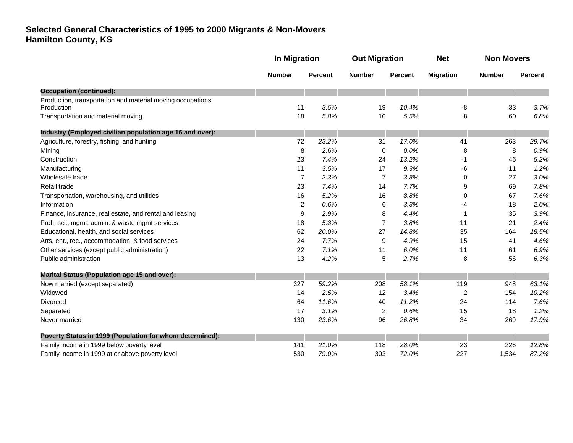|                                                                           | <b>In Migration</b> |                | <b>Out Migration</b> |                | <b>Net</b>       | <b>Non Movers</b> |                |
|---------------------------------------------------------------------------|---------------------|----------------|----------------------|----------------|------------------|-------------------|----------------|
|                                                                           | <b>Number</b>       | <b>Percent</b> | <b>Number</b>        | <b>Percent</b> | <b>Migration</b> | <b>Number</b>     | <b>Percent</b> |
| <b>Occupation (continued):</b>                                            |                     |                |                      |                |                  |                   |                |
| Production, transportation and material moving occupations:<br>Production | 11                  | 3.5%           | 19                   | 10.4%          | -8               | 33                | 3.7%           |
| Transportation and material moving                                        | 18                  | 5.8%           | 10                   | 5.5%           | 8                | 60                | 6.8%           |
| Industry (Employed civilian population age 16 and over):                  |                     |                |                      |                |                  |                   |                |
| Agriculture, forestry, fishing, and hunting                               | 72                  | 23.2%          | 31                   | 17.0%          | 41               | 263               | 29.7%          |
| Mining                                                                    | 8                   | 2.6%           | 0                    | 0.0%           | 8                | 8                 | 0.9%           |
| Construction                                                              | 23                  | 7.4%           | 24                   | 13.2%          | -1               | 46                | 5.2%           |
| Manufacturing                                                             | 11                  | 3.5%           | 17                   | 9.3%           | -6               | 11                | 1.2%           |
| Wholesale trade                                                           | $\overline{7}$      | 2.3%           | $\overline{7}$       | 3.8%           | 0                | 27                | 3.0%           |
| Retail trade                                                              | 23                  | 7.4%           | 14                   | 7.7%           | 9                | 69                | 7.8%           |
| Transportation, warehousing, and utilities                                | 16                  | 5.2%           | 16                   | 8.8%           | 0                | 67                | 7.6%           |
| Information                                                               | 2                   | 0.6%           | 6                    | 3.3%           | -4               | 18                | 2.0%           |
| Finance, insurance, real estate, and rental and leasing                   | 9                   | 2.9%           | 8                    | 4.4%           | 1                | 35                | 3.9%           |
| Prof., sci., mgmt, admin. & waste mgmt services                           | 18                  | 5.8%           | $\overline{7}$       | 3.8%           | 11               | 21                | 2.4%           |
| Educational, health, and social services                                  | 62                  | 20.0%          | 27                   | 14.8%          | 35               | 164               | 18.5%          |
| Arts, ent., rec., accommodation, & food services                          | 24                  | 7.7%           | 9                    | 4.9%           | 15               | 41                | 4.6%           |
| Other services (except public administration)                             | 22                  | 7.1%           | 11                   | 6.0%           | 11               | 61                | 6.9%           |
| Public administration                                                     | 13                  | 4.2%           | 5                    | 2.7%           | 8                | 56                | 6.3%           |
| <b>Marital Status (Population age 15 and over):</b>                       |                     |                |                      |                |                  |                   |                |
| Now married (except separated)                                            | 327                 | 59.2%          | 208                  | 58.1%          | 119              | 948               | 63.1%          |
| Widowed                                                                   | 14                  | 2.5%           | 12                   | 3.4%           | 2                | 154               | 10.2%          |
| <b>Divorced</b>                                                           | 64                  | 11.6%          | 40                   | 11.2%          | 24               | 114               | 7.6%           |
| Separated                                                                 | 17                  | 3.1%           | $\overline{c}$       | 0.6%           | 15               | 18                | 1.2%           |
| Never married                                                             | 130                 | 23.6%          | 96                   | 26.8%          | 34               | 269               | 17.9%          |
| Poverty Status in 1999 (Population for whom determined):                  |                     |                |                      |                |                  |                   |                |
| Family income in 1999 below poverty level                                 | 141                 | 21.0%          | 118                  | 28.0%          | 23               | 226               | 12.8%          |
| Family income in 1999 at or above poverty level                           | 530                 | 79.0%          | 303                  | 72.0%          | 227              | 1,534             | 87.2%          |